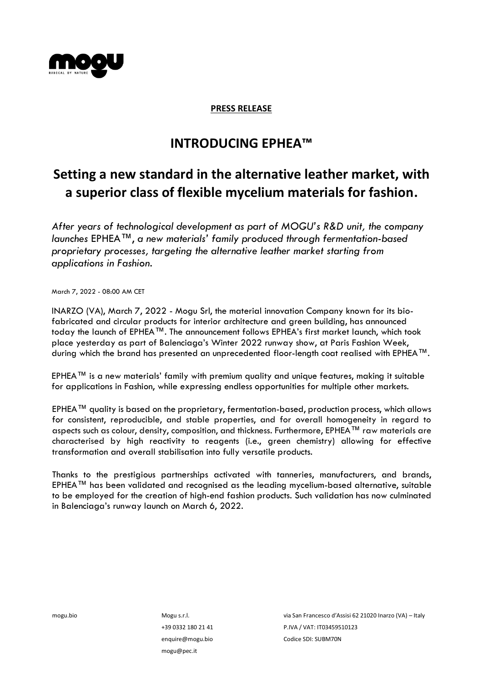

## **PRESS RELEASE**

## **INTRODUCING EPHEA™️**

## **Setting a new standard in the alternative leather market, with a superior class of flexible mycelium materials for fashion.**

*After years of technological development as part of MOGU's R&D unit, the company launches* EPHEA™️, *a new materials' family produced through fermentation-based proprietary processes, targeting the alternative leather market starting from applications in Fashion.*

March 7, 2022 - 08:00 AM CET

INARZO (VA), March 7, 2022 - Mogu Srl, the material innovation Company known for its biofabricated and circular products for interior architecture and green building, has announced today the launch of EPHEA™️. The announcement follows EPHEA's first market launch, which took place yesterday as part of Balenciaga's Winter 2022 runway show, at Paris Fashion Week, during which the brand has presented an unprecedented floor-length coat realised with EPHEA™️.

EPHEA™️ is a new materials' family with premium quality and unique features, making it suitable for applications in Fashion, while expressing endless opportunities for multiple other markets.

EPHEA™️ quality is based on the proprietary, fermentation-based, production process, which allows for consistent, reproducible, and stable properties, and for overall homogeneity in regard to aspects such as colour, density, composition, and thickness. Furthermore, EPHEA™️ raw materials are characterised by high reactivity to reagents (i.e., green chemistry) allowing for effective transformation and overall stabilisation into fully versatile products.

Thanks to the prestigious partnerships activated with tanneries, manufacturers, and brands, EPHEA™️ has been validated and recognised as the leading mycelium-based alternative, suitable to be employed for the creation of high-end fashion products. Such validation has now culminated in Balenciaga's runway launch on March 6, 2022.

mogu.bio Mogu s.r.l. +39 0332 180 21 41 [enquire@mogu.bio](mailto:enquire@mogu.bio) mogu@pec.it

via San Francesco d'Assisi 62 21020 Inarzo (VA) – Italy P.IVA / VAT: IT03459510123 Codice SDI: SUBM70N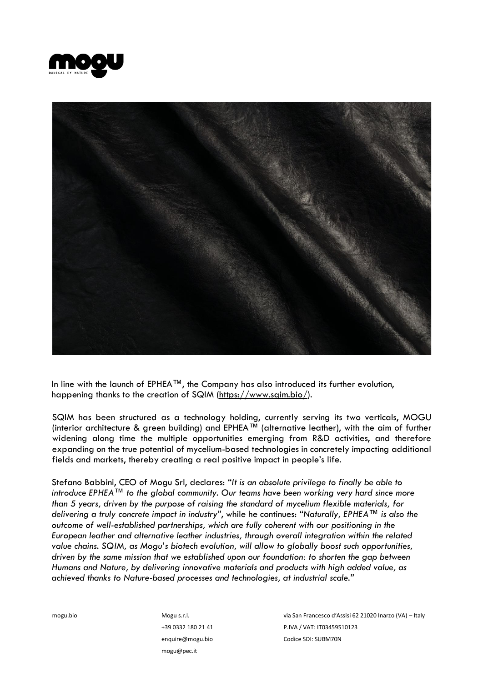



In line with the launch of EPHEA™️, the Company has also introduced its further evolution, happening thanks to the creation of SQIM [\(https://www.sqim.bio/\)](https://www.sqim.bio/).

SQIM has been structured as a technology holding, currently serving its two verticals, MOGU (interior architecture & green building) and EPHEA™️ (alternative leather), with the aim of further widening along time the multiple opportunities emerging from R&D activities, and therefore expanding on the true potential of mycelium-based technologies in concretely impacting additional fields and markets, thereby creating a real positive impact in people's life.

Stefano Babbini, CEO of Mogu Srl, declares: *"It is an absolute privilege to finally be able to introduce EPHEA™️ to the global community. Our teams have been working very hard since more than 5 years, driven by the purpose of raising the standard of mycelium flexible materials, for delivering a truly concrete impact in industry"*, while he continues: *"Naturally, EPHEA™️ is also the outcome of well-established partnerships, which are fully coherent with our positioning in the European leather and alternative leather industries, through overall integration within the related value chains. SQIM, as Mogu's biotech evolution, will allow to globally boost such opportunities, driven by the same mission that we established upon our foundation: to shorten the gap between Humans and Nature, by delivering innovative materials and products with high added value, as achieved thanks to Nature-based processes and technologies, at industrial scale."*

mogu.bio Mogu s.r.l.

+39 0332 180 21 41 [enquire@mogu.bio](mailto:enquire@mogu.bio) mogu@pec.it

via San Francesco d'Assisi 62 21020 Inarzo (VA) – Italy P.IVA / VAT: IT03459510123 Codice SDI: SUBM70N